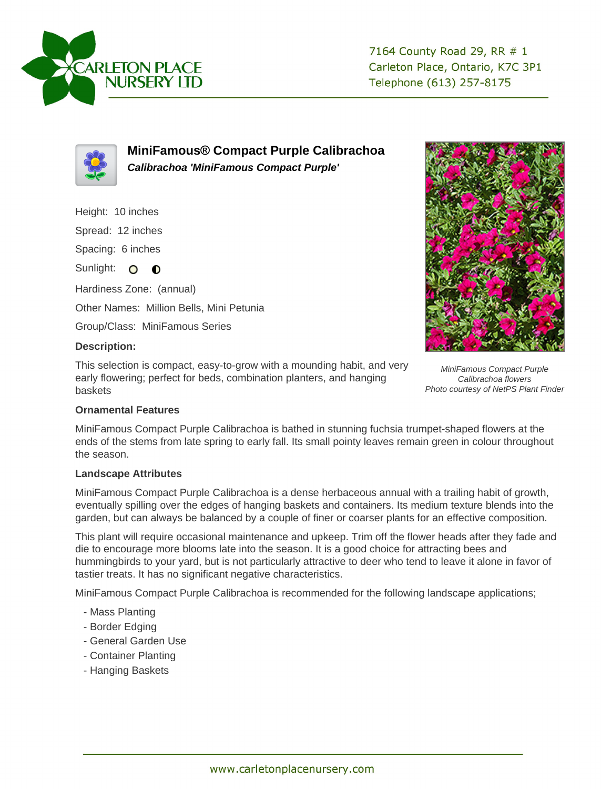



**MiniFamous® Compact Purple Calibrachoa Calibrachoa 'MiniFamous Compact Purple'**

Height: 10 inches

Spread: 12 inches

Spacing: 6 inches

Sunlight: O **O** 

Hardiness Zone: (annual)

Other Names: Million Bells, Mini Petunia

Group/Class: MiniFamous Series

## **Description:**

This selection is compact, easy-to-grow with a mounding habit, and very early flowering; perfect for beds, combination planters, and hanging baskets



MiniFamous Compact Purple Calibrachoa flowers Photo courtesy of NetPS Plant Finder

## **Ornamental Features**

MiniFamous Compact Purple Calibrachoa is bathed in stunning fuchsia trumpet-shaped flowers at the ends of the stems from late spring to early fall. Its small pointy leaves remain green in colour throughout the season.

## **Landscape Attributes**

MiniFamous Compact Purple Calibrachoa is a dense herbaceous annual with a trailing habit of growth, eventually spilling over the edges of hanging baskets and containers. Its medium texture blends into the garden, but can always be balanced by a couple of finer or coarser plants for an effective composition.

This plant will require occasional maintenance and upkeep. Trim off the flower heads after they fade and die to encourage more blooms late into the season. It is a good choice for attracting bees and hummingbirds to your yard, but is not particularly attractive to deer who tend to leave it alone in favor of tastier treats. It has no significant negative characteristics.

MiniFamous Compact Purple Calibrachoa is recommended for the following landscape applications;

- Mass Planting
- Border Edging
- General Garden Use
- Container Planting
- Hanging Baskets